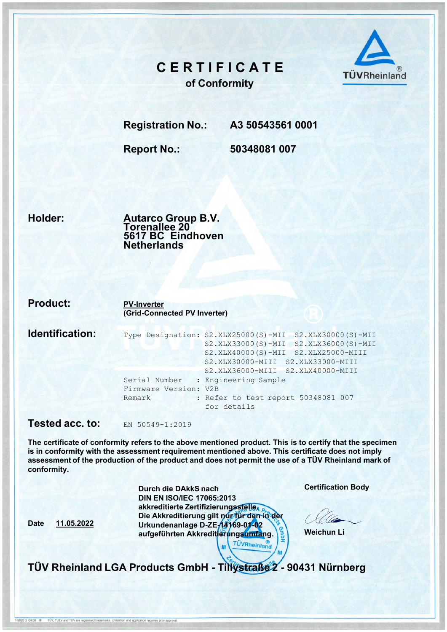## C E R T I F I C A T E of Conformity



Registration No.: A3 50543561 0001

Report No.: 50348081 007

Holder:

Autarco Group B.V. Torenallee 20 5617 BC Eindhoven **Netherlands** 

| <b>Product:</b> | <b>PV-Inverter</b><br>(Grid-Connected PV Inverter) |                                                                                                                                                                                                                                                                                                    |
|-----------------|----------------------------------------------------|----------------------------------------------------------------------------------------------------------------------------------------------------------------------------------------------------------------------------------------------------------------------------------------------------|
| Identification: | Serial Number<br>Firmware Version: V2B<br>Remark   | Type Designation: S2.XLX25000(S)-MII<br>S2.XLX30000(S)-MII<br>S2.XLX33000(S)-MII S2.XLX36000(S)-MII<br>S2.XLX40000(S)-MII S2.XLX25000-MIII<br>S2.XLX30000-MIII S2.XLX33000-MIII<br>S2.XLX36000-MIII S2.XLX40000-MIII<br>: Engineering Sample<br>: Refer to test report 50348081 007<br>for details |

Tested acc. to: EN 50549-1:2019

0/020 d 04.08 <sup>®</sup> TŪV, TUEV and TUV are registered trademarks. Utilisation and application requires prior approval

Date 11.05.2022

The certificate of conformity refers to the above mentioned product. This is to certify that the specimen is in conformity with the assessment requirement mentioned above. This certificate does not imply assessment of the production of the product and does not permit the use of a TÜV Rheinland mark of conformity.

> Durch die DAkkS nach DIN EN ISO/IEC 17065:2013 akkreditierte Zertifizierungsstelle. Die Akkreditierung gilt nur für den in der Urkundenanlage D-ZE-14169-01-02 aufgeführten Akkreditierungsumfang. **TÜVRheinland**

Certification Body

Weichun Li

TÜV Rheinland LGA Products GmbH - Tillystraße 2 - 90431 Nürnberg